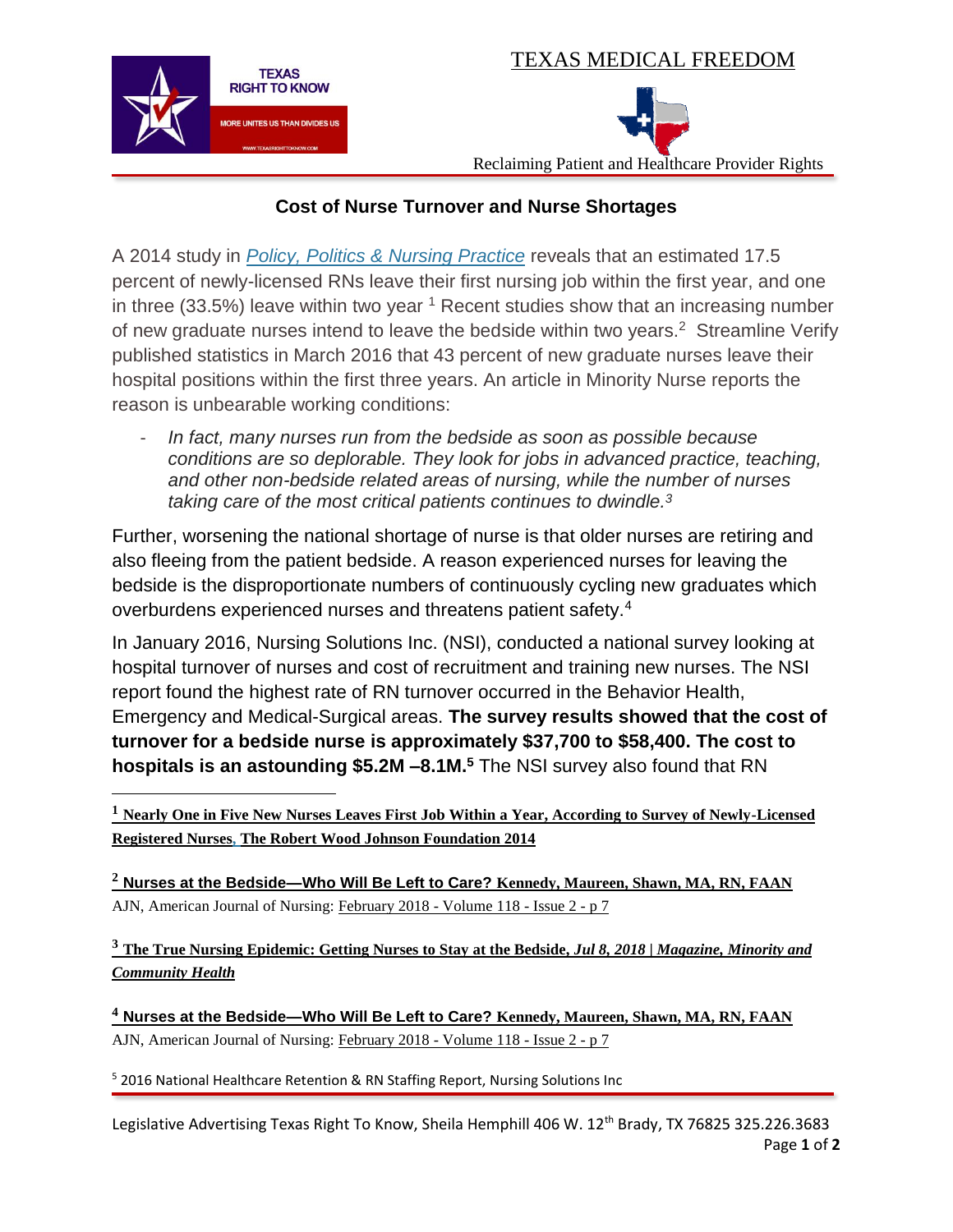TEXAS MEDICAL FREEDOM



 $\overline{\phantom{a}}$ 

## Reclaiming Patient and Healthcare Provider Rights

## **Cost of Nurse Turnover and Nurse Shortages**

A 2014 study in *Policy, Politics & Nursing [Practice](http://journals.sagepub.com/doi/10.1177/1527154414547953)* reveals that an estimated 17.5 percent of newly-licensed RNs leave their first nursing job within the first year, and one in three  $(33.5\%)$  leave within two year  $<sup>1</sup>$  Recent studies show that an increasing number</sup> of new graduate nurses intend to leave the bedside within two years.<sup>2</sup> Streamline Verify published statistics in March 2016 that 43 percent of new graduate nurses leave their hospital positions within the first three years. An article in Minority Nurse reports the reason is unbearable working conditions:

- *In fact, many nurses run from the bedside as soon as possible because conditions are so deplorable. They look for jobs in advanced practice, teaching, and other non-bedside related areas of nursing, while the number of nurses taking care of the most critical patients continues to dwindle.<sup>3</sup>*

Further, worsening the national shortage of nurse is that older nurses are retiring and also fleeing from the patient bedside. A reason experienced nurses for leaving the bedside is the disproportionate numbers of continuously cycling new graduates which overburdens experienced nurses and threatens patient safety.<sup>4</sup>

In January 2016, Nursing Solutions Inc. (NSI), conducted a national survey looking at hospital turnover of nurses and cost of recruitment and training new nurses. The NSI report found the highest rate of RN turnover occurred in the Behavior Health, Emergency and Medical-Surgical areas. **The survey results showed that the cost of turnover for a bedside nurse is approximately \$37,700 to \$58,400. The cost to hospitals is an astounding \$5.2M –8.1M.<sup>5</sup>** The NSI survey also found that RN

**<sup>1</sup> Nearly One in Five New Nurses Leaves First Job Within a Year, According to Survey of Newly-Licensed Registered Nurses, The Robert Wood Johnson Foundation 2014**

**<sup>2</sup> Nurses at the Bedside—Who Will Be Left to Care? Kennedy, Maureen, Shawn, MA, RN, FAAN** AJN, American Journal of Nursing: [February 2018 -](https://journals.lww.com/ajnonline/toc/2018/02000) Volume 118 - Issue 2 - p 7

**<sup>3</sup> The True Nursing Epidemic: Getting Nurses to Stay at the Bedside,** *Jul 8, 2018 | [Magazine,](https://minoritynurse.com/category/magazine/) [Minority](https://minoritynurse.com/category/minority-community-health/) and [Community](https://minoritynurse.com/category/minority-community-health/) Health*

**<sup>4</sup> Nurses at the Bedside—Who Will Be Left to Care? Kennedy, Maureen, Shawn, MA, RN, FAAN** AJN, American Journal of Nursing: [February 2018 -](https://journals.lww.com/ajnonline/toc/2018/02000) Volume 118 - Issue 2 - p 7

<sup>5</sup> 2016 National Healthcare Retention & RN Staffing Report, Nursing Solutions Inc

Legislative Advertising Texas Right To Know, Sheila Hemphill 406 W. 12<sup>th</sup> Brady, TX 76825 325.226.3683 Page **1** of **2**